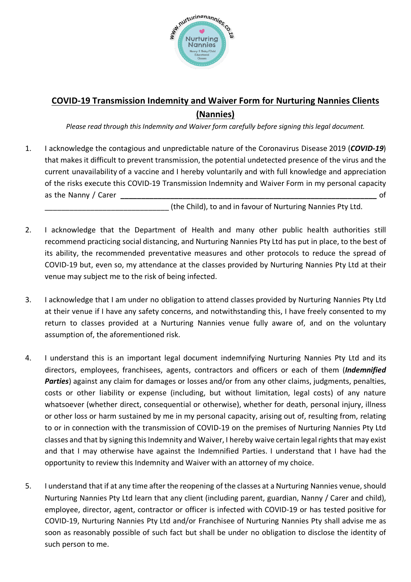

## **COVID-19 Transmission Indemnity and Waiver Form for Nurturing Nannies Clients (Nannies)**

*Please read through this Indemnity and Waiver form carefully before signing this legal document.*

1. I acknowledge the contagious and unpredictable nature of the Coronavirus Disease 2019 (*COVID-19*) that makes it difficult to prevent transmission, the potential undetected presence of the virus and the current unavailability of a vaccine and I hereby voluntarily and with full knowledge and appreciation of the risks execute this COVID-19 Transmission Indemnity and Waiver Form in my personal capacity as the Nanny / Carer *and Carely 2008* of

(the Child), to and in favour of Nurturing Nannies Pty Ltd.

- 2. I acknowledge that the Department of Health and many other public health authorities still recommend practicing social distancing, and Nurturing Nannies Pty Ltd has put in place, to the best of its ability, the recommended preventative measures and other protocols to reduce the spread of COVID-19 but, even so, my attendance at the classes provided by Nurturing Nannies Pty Ltd at their venue may subject me to the risk of being infected.
- 3. I acknowledge that I am under no obligation to attend classes provided by Nurturing Nannies Pty Ltd at their venue if I have any safety concerns, and notwithstanding this, I have freely consented to my return to classes provided at a Nurturing Nannies venue fully aware of, and on the voluntary assumption of, the aforementioned risk.
- 4. I understand this is an important legal document indemnifying Nurturing Nannies Pty Ltd and its directors, employees, franchisees, agents, contractors and officers or each of them (*Indemnified Parties*) against any claim for damages or losses and/or from any other claims, judgments, penalties, costs or other liability or expense (including, but without limitation, legal costs) of any nature whatsoever (whether direct, consequential or otherwise), whether for death, personal injury, illness or other loss or harm sustained by me in my personal capacity, arising out of, resulting from, relating to or in connection with the transmission of COVID-19 on the premises of Nurturing Nannies Pty Ltd classes and that by signing this Indemnity and Waiver, I hereby waive certain legal rights that may exist and that I may otherwise have against the Indemnified Parties. I understand that I have had the opportunity to review this Indemnity and Waiver with an attorney of my choice.
- 5. I understand that if at any time after the reopening of the classes at a Nurturing Nannies venue, should Nurturing Nannies Pty Ltd learn that any client (including parent, guardian, Nanny / Carer and child), employee, director, agent, contractor or officer is infected with COVID-19 or has tested positive for COVID-19, Nurturing Nannies Pty Ltd and/or Franchisee of Nurturing Nannies Pty shall advise me as soon as reasonably possible of such fact but shall be under no obligation to disclose the identity of such person to me.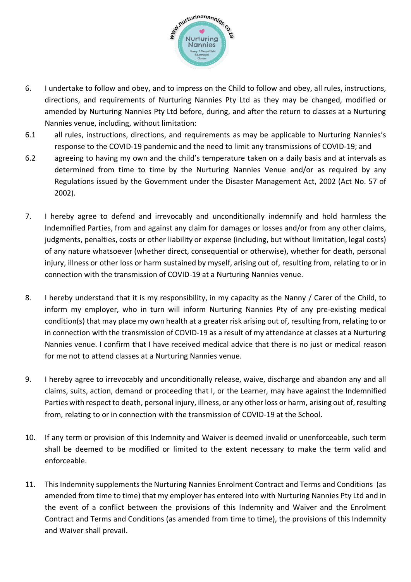

- 6. I undertake to follow and obey, and to impress on the Child to follow and obey, all rules, instructions, directions, and requirements of Nurturing Nannies Pty Ltd as they may be changed, modified or amended by Nurturing Nannies Pty Ltd before, during, and after the return to classes at a Nurturing Nannies venue, including, without limitation:
- 6.1 all rules, instructions, directions, and requirements as may be applicable to Nurturing Nannies's response to the COVID-19 pandemic and the need to limit any transmissions of COVID-19; and
- 6.2 agreeing to having my own and the child's temperature taken on a daily basis and at intervals as determined from time to time by the Nurturing Nannies Venue and/or as required by any Regulations issued by the Government under the Disaster Management Act, 2002 (Act No. 57 of 2002).
- 7. I hereby agree to defend and irrevocably and unconditionally indemnify and hold harmless the Indemnified Parties, from and against any claim for damages or losses and/or from any other claims, judgments, penalties, costs or other liability or expense (including, but without limitation, legal costs) of any nature whatsoever (whether direct, consequential or otherwise), whether for death, personal injury, illness or other loss or harm sustained by myself, arising out of, resulting from, relating to or in connection with the transmission of COVID-19 at a Nurturing Nannies venue.
- 8. I hereby understand that it is my responsibility, in my capacity as the Nanny / Carer of the Child, to inform my employer, who in turn will inform Nurturing Nannies Pty of any pre-existing medical condition(s) that may place my own health at a greater risk arising out of, resulting from, relating to or in connection with the transmission of COVID-19 as a result of my attendance at classes at a Nurturing Nannies venue. I confirm that I have received medical advice that there is no just or medical reason for me not to attend classes at a Nurturing Nannies venue.
- 9. I hereby agree to irrevocably and unconditionally release, waive, discharge and abandon any and all claims, suits, action, demand or proceeding that I, or the Learner, may have against the Indemnified Parties with respect to death, personal injury, illness, or any other loss or harm, arising out of, resulting from, relating to or in connection with the transmission of COVID-19 at the School.
- 10. If any term or provision of this Indemnity and Waiver is deemed invalid or unenforceable, such term shall be deemed to be modified or limited to the extent necessary to make the term valid and enforceable.
- 11. This Indemnity supplements the Nurturing Nannies Enrolment Contract and Terms and Conditions (as amended from time to time) that my employer has entered into with Nurturing Nannies Pty Ltd and in the event of a conflict between the provisions of this Indemnity and Waiver and the Enrolment Contract and Terms and Conditions (as amended from time to time), the provisions of this Indemnity and Waiver shall prevail.